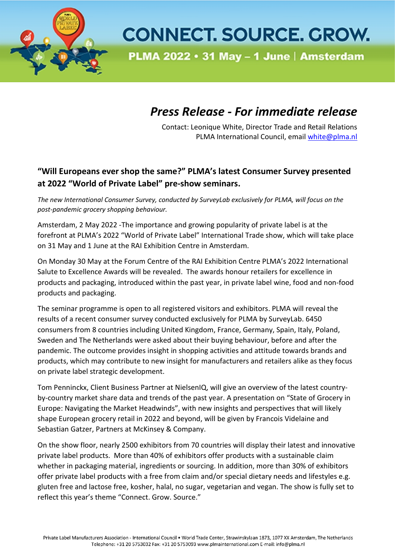

## **CONNECT. SOURCE. GROW.**

PLMA 2022 • 31 May - 1 June | Amsterdam

## *Press Release - For immediate release*

Contact: Leonique White, Director Trade and Retail Relations PLMA International Council, email [white@plma.nl](mailto:white@plma.nl)

## **"Will Europeans ever shop the same?" PLMA's latest Consumer Survey presented at 2022 "World of Private Label" pre-show seminars.**

*The new International Consumer Survey, conducted by SurveyLab exclusively for PLMA, will focus on the post-pandemic grocery shopping behaviour.*

Amsterdam, 2 May 2022 -The importance and growing popularity of private label is at the forefront at PLMA's 2022 "World of Private Label" International Trade show, which will take place on 31 May and 1 June at the RAI Exhibition Centre in Amsterdam.

On Monday 30 May at the Forum Centre of the RAI Exhibition Centre PLMA's 2022 International Salute to Excellence Awards will be revealed. The awards honour retailers for excellence in products and packaging, introduced within the past year, in private label wine, food and non-food products and packaging.

The seminar programme is open to all registered visitors and exhibitors. PLMA will reveal the results of a recent consumer survey conducted exclusively for PLMA by SurveyLab. 6450 consumers from 8 countries including United Kingdom, France, Germany, Spain, Italy, Poland, Sweden and The Netherlands were asked about their buying behaviour, before and after the pandemic. The outcome provides insight in shopping activities and attitude towards brands and products, which may contribute to new insight for manufacturers and retailers alike as they focus on private label strategic development.

Tom Penninckx, Client Business Partner at NielsenIQ, will give an overview of the latest countryby-country market share data and trends of the past year. A presentation on "State of Grocery in Europe: Navigating the Market Headwinds", with new insights and perspectives that will likely shape European grocery retail in 2022 and beyond, will be given by Francois Videlaine and Sebastian Gatzer, Partners at McKinsey & Company.

On the show floor, nearly 2500 exhibitors from 70 countries will display their latest and innovative private label products. More than 40% of exhibitors offer products with a sustainable claim whether in packaging material, ingredients or sourcing. In addition, more than 30% of exhibitors offer private label products with a free from claim and/or special dietary needs and lifestyles e.g. gluten free and lactose free, kosher, halal, no sugar, vegetarian and vegan. The show is fully set to reflect this year's theme "Connect. Grow. Source."